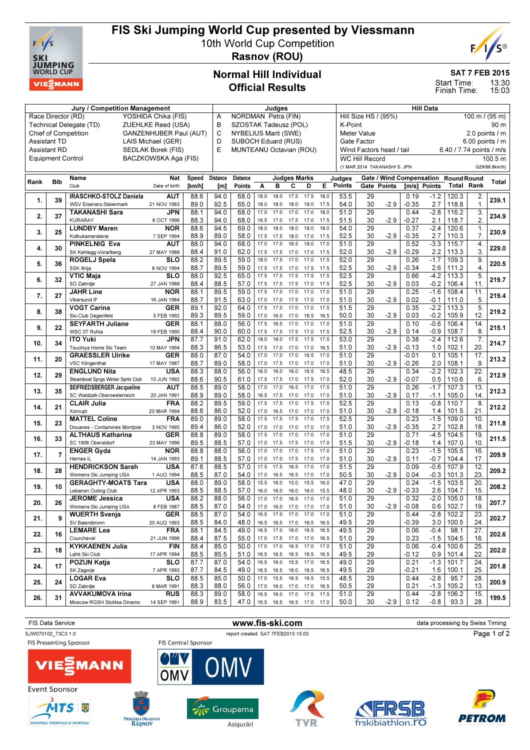

# FIS Ski Jumping World Cup presented by Viessmann

10th World Cup Competition Rasnov (ROU)



SAT 7 FEB 2015

13:30 15:03 Start Time: Finish Time:

### Normal Hill Individual Official Results

| Jury / Competition Management                                                                                                          |                          |                                                           |                          |        |          | Judges                                            |      |           |                     |                          |                 | <b>Hill Data</b>                       |                              |             |                          |                  |                          |                    |                |
|----------------------------------------------------------------------------------------------------------------------------------------|--------------------------|-----------------------------------------------------------|--------------------------|--------|----------|---------------------------------------------------|------|-----------|---------------------|--------------------------|-----------------|----------------------------------------|------------------------------|-------------|--------------------------|------------------|--------------------------|--------------------|----------------|
| Race Director (RD)<br>YOSHIDA Chika (FIS)                                                                                              |                          |                                                           |                          |        |          | NORDMAN Petra (FIN)<br>Α<br>SZOSTAK Tadeusz (POL) |      |           |                     |                          |                 | Hill Size HS / (95%)<br>100 m / (95 m) |                              |             |                          |                  |                          |                    |                |
| B<br>Technical Delegate (TD)<br>ZUEHLKE Reed (USA)<br>C<br><b>Chief of Competition</b><br>GANZENHUBER Paul (AUT)<br>LAIS Michael (GER) |                          |                                                           |                          |        |          |                                                   |      |           |                     |                          |                 | K-Point                                |                              |             |                          |                  |                          |                    | 90 m           |
|                                                                                                                                        |                          |                                                           |                          |        |          | <b>NYBELIUS Marit (SWE)</b>                       |      |           |                     |                          |                 |                                        | <b>Meter Value</b>           |             |                          |                  |                          |                    | 2.0 points / m |
| <b>Assistant TD</b>                                                                                                                    | D                        | SUBOCH Eduard (RUS)                                       |                          |        |          |                                                   |      |           | Gate Factor         |                          | 6.00 points / m |                                        |                              |             |                          |                  |                          |                    |                |
|                                                                                                                                        | <b>Assistant RD</b>      |                                                           | SEDLAK Borek (FIS)       |        | E        | MUNTEANU Octavian (ROU)                           |      |           |                     |                          |                 |                                        | Wind Factors head / tail     |             |                          |                  | 6.40 / 7.74 points / m/s |                    |                |
|                                                                                                                                        | <b>Equipment Control</b> |                                                           | BACZKOWSKA Aga (FIS)     |        |          |                                                   |      |           |                     |                          |                 |                                        | <b>WC Hill Record</b>        |             |                          |                  |                          |                    | 100.5 m        |
|                                                                                                                                        |                          |                                                           |                          |        |          |                                                   |      |           |                     |                          |                 |                                        | (1 MAR 2014 TAKANASHI S. JPN |             |                          |                  |                          |                    | G29/88.8km/h)  |
|                                                                                                                                        |                          |                                                           |                          |        |          |                                                   |      |           |                     |                          |                 |                                        |                              |             |                          |                  |                          |                    |                |
| Rank                                                                                                                                   | <b>Bib</b>               | Name                                                      | <b>Nat</b>               | Speed  | Distance | <b>Distance</b>                                   |      |           | <b>Judges Marks</b> |                          |                 | Judges                                 |                              |             | Gate / Wind Compensation |                  | <b>Round Round</b>       |                    | Total          |
|                                                                                                                                        |                          | Club                                                      | Date of birth            | [km/h] | [m]      | Points                                            | Α    | в         | C                   | D                        | Е               | <b>Points</b>                          |                              | Gate Points | [m/s] Points             |                  | <b>Total Rank</b>        |                    |                |
|                                                                                                                                        |                          | <b>IRASCHKO-STOLZ Daniela</b>                             | <b>AUT</b>               | 88.6   | 94.0     | 68.0                                              | 18.0 | 18.0      | 17.5                | 17.5                     | 18.0            | 53.5                                   | 29                           |             | 0.19                     | $-1.2$           | 120.3                    | 2.                 |                |
| 1.                                                                                                                                     | 39                       | WSV Eisenerz-Steiermark                                   | 21 NOV 1983              | 89.0   | 92.5     | 65.0                                              | 18.0 | 18.0      | 18.0                | 18.0                     | 17.5            | 54.0                                   | 30                           | $-2.9$      | $-0.35$                  | 2.7              | 118.8                    | $\mathbf{1}$ .     | 239.1          |
|                                                                                                                                        |                          | <b>TAKANASHI Sara</b>                                     | JPN                      | 88.1   | 94.0     | 68.0                                              | 17.0 | 17.0      | 17.0                | 17.0                     | 18.0            | 51.0                                   | $\overline{29}$              |             | 0.44                     | $-2.8$           | 116.2                    | 3.                 |                |
| 2.                                                                                                                                     | 37                       | <b>KURARAY</b>                                            | 8 OCT 1996               | 88.3   | 94.0     | 68.0                                              | 16.5 | 17.0      | 17.5                | 17.0                     | 17.5            | 51.5                                   | 30                           | $-2.9$      | $-0.27$                  | 2.1              | 118.7                    | 2.                 | 234.9          |
|                                                                                                                                        |                          | <b>LUNDBY Maren</b>                                       | NOR                      | 88.6   | 94.5     | 69.0                                              | 18.0 | 18.0      | 18.0                | 18.0                     | 18.0            | 54.0                                   | 29                           |             | 0.37                     | $-2.4$           | 120.6                    | $\mathbf{1}$ .     |                |
| 3.                                                                                                                                     | 25                       | Kolbukameratene                                           | 7 SEP 1994               | 88.9   | 89.0     | 58.0                                              | 17.5 | 17.5      | 18.0                | 17.0                     | 17.5            | 52.5                                   | 30                           | $-2.9$      | $-0.35$                  | 2.7              | 110.3                    | 7.                 | 230.9          |
|                                                                                                                                        |                          | <b>PINKELNIG Eva</b>                                      | AUT                      | 88.0   | 94.0     | 68.0                                              | 17.0 | 17.0      | 16.5                | 18.0                     | 17.0            | 51.0                                   | 29                           |             | 0.52                     | $-3.3$           | 115.7                    | $\boldsymbol{4}$ . |                |
| 4.                                                                                                                                     | 30                       | SK Kehlegg-Vorarlberg                                     | 27 MAY 1988              | 88.4   | 91.0     | 62.0                                              | 17.5 | 17.5      | 17.0                | 17.0                     | 17.5            | 52.0                                   | 30                           | $-2.9$      | $-0.29$                  | $2.2\phantom{0}$ | 113.3                    | 3.                 | 229.0          |
|                                                                                                                                        |                          | <b>ROGELJ Spela</b>                                       | <b>SLO</b>               | 88.2   | 89.5     | 59.0                                              | 18.0 | 17.5      | 17.0                | 17.0                     | 17.5            | 52.0                                   | 29                           |             | 0.26                     | $-1.7$           | 109.3                    | 9.                 |                |
| 5.                                                                                                                                     | 36                       | <b>SSK Ilirija</b>                                        | 8 NOV 1994               | 88.7   | 89.5     | 59.0                                              | 17.5 | 17.5      | 17.0                | 17.5                     | 17.5            | 52.5                                   | 30                           | $-2.9$      | $-0.34$                  | 2.6              | 111.2                    | 4.                 | 220.5          |
|                                                                                                                                        |                          | <b>VTIC Maja</b>                                          | <b>SLO</b>               | 88.0   | 92.5     | 65.0                                              | 17.5 | 17.5      | 17.5                | 17.5                     | 17.5            | 52.5                                   | 29                           |             | 0.66                     | $-4.2$           | 113.3                    | 5.                 |                |
| 6.                                                                                                                                     | 32                       | SD Zabrdie                                                | 27 JAN 1988              | 88.4   | 88.5     | 57.0                                              | 17.5 | 17.5      | 17.5                | 17.0                     | 17.5            | 52.5                                   | 30                           | $-2.9$      | 0.03                     | $-0.2$           | 106.4                    | 11.                | 219.7          |
|                                                                                                                                        |                          | <b>JAHR Line</b>                                          | NOR                      | 88.1   | 89.5     | 59.0                                              | 17.5 | 17.0      | 17.0                | 17.0                     | 17.0            | 51.0                                   | 29                           |             | 0.25                     | $-1.6$           | 108.4                    | 11.                |                |
| 7.                                                                                                                                     | 27                       | Vikersund IF                                              | 16 JAN 1984              | 88.7   | 91.5     | 63.0                                              | 17.0 | 17.0      | 17.5                | 17.0                     | 17.0            | 51.0                                   | 30                           | $-2.9$      | 0.02                     | $-0.1$           | 111.0                    | 5.                 | 219.4          |
|                                                                                                                                        |                          | <b>VOGT Carina</b>                                        | GER                      | 89.1   | 92.0     | 64.0                                              | 17.5 | 17.0      | 17.0                | 17.0                     | 17.5            | 51.5                                   | 29                           |             | 0.35                     | $-2.2$           | 113.3                    | 5.                 |                |
| 8.                                                                                                                                     | 38                       | Ski-Club Degenfeld                                        | 5 FEB 1992               | 89.3   | 89.5     | 59.0                                              | 17.0 | 16.0      | 17.0                | 16.5                     | 16.5            | 50.0                                   | 30                           | $-2.9$      | 0.03                     | $-0.2$           | 105.9                    | 12.                | 219.2          |
|                                                                                                                                        |                          | <b>SEYFARTH Juliane</b>                                   | GER                      | 88.1   | 88.0     | 56.0                                              | 17.5 | 16.5      | 17.0                | 17.0                     | 17.0            | 51.0                                   | 29                           |             | 0.10                     | $-0.6$           | 106.4                    | 14.                |                |
| 9.                                                                                                                                     | 22                       | WSC 07 Ruhla                                              | 19 FEB 1990              | 88.4   | 90.0     | 60.0                                              | 17.5 | 17.5      | 17.5                | 17.0                     | 17.5            | 52.5                                   | 30                           | $-2.9$      | 0.14                     | -0.9             | 108.7                    | 8.                 | 215.1          |
|                                                                                                                                        |                          | <b>ITO Yuki</b>                                           | JPN                      | 87.7   | 91.0     | 62.0                                              | 18.0 | 18.0      | 17.5                | 17.5                     | 17.5            | 53.0                                   | 29                           |             | 0.38                     | $-2.4$           | 112.6                    | $\overline{7}$ .   |                |
| 10.                                                                                                                                    | 34                       | Tsuchiya Home Ski Team                                    | 10 MAY 1994              | 88.3   | 86.5     | 53.0                                              | 17.5 | 17.0      | 17.0                | 17.0                     | 16.5            | 51.0                                   | 30                           | $-2.9$      | $-0.13$                  | 1.0              | 102.1                    | 20.                | 214.7          |
|                                                                                                                                        |                          | <b>GRAESSLER Ulrike</b>                                   | GER                      | 88.0   | 87.0     | 54.0                                              | 17.0 | 17.0      | 17.0                | 16.5                     | 17.0            | 51.0                                   | 29                           |             | $-0.01$                  | 0.1              | 105.1                    | 17.                |                |
| 11.                                                                                                                                    | 20                       | <b>VSC Klingenthal</b>                                    | 17 MAY 1987              | 88.7   | 89.0     | 58.0                                              | 17.0 | 17.5      | 17.0                | 17.0                     | 17.0            | 51.0                                   | 30                           | $-2.9$      | $-0.26$                  | 2.0              | 108.1                    | 9.                 | 213.2          |
|                                                                                                                                        |                          | <b>ENGLUND Nita</b>                                       | <b>USA</b>               | 88.3   | 88.0     | 56.0                                              | 16.0 | 16.0      | 16.0                | 16.5                     | 16.5            | 48.5                                   | 29                           |             | 0.34                     | $-2.2$           | 102.3                    | $\overline{22}$    |                |
| 12.                                                                                                                                    | 29                       | Steamboat Sprgs Winter Sprts Club                         | 10 JUN 1992              | 88.6   | 90.5     | 61.0                                              | 17.5 | 17.5      | 17.0                | 17.5                     | 17.0            | 52.0                                   | 30                           | $-2.9$      | $-0.07$                  | 0.5              | 110.6                    | 6.                 | 212.9          |
|                                                                                                                                        |                          | SEIFRIEDSBERGER Jacqueline                                | AUT                      | 88.5   | 89.0     | 58.0                                              | 17.0 | 17.0      | 16.5                | 17.0                     | 17.5            | 51.0                                   | 29                           |             | 0.26                     | $-1.7$           | 107.3                    | 13.                |                |
| 13.                                                                                                                                    | 35                       | SC Waldzell-Oberoesterreich                               | 20 JAN 1991              | 88.9   | 89.0     | 58.0                                              | 16.5 | 17.5      | 17.0                | 17.0                     | 17.0            | 51.0                                   | 30                           | $-2.9$      | 0.17                     | $-1.1$           | 105.0                    | 14.                | 212.3          |
|                                                                                                                                        |                          | <b>CLAIR Julia</b>                                        | <b>FRA</b>               | 88.2   | 89.5     | 59.0                                              | 17.5 | 17.5      | 17.0                | 17.5                     | 17.5            | 52.5                                   | 29                           |             | 0.13                     | $-0.8$           | 110.7                    | 8.                 |                |
| 14.                                                                                                                                    | 21                       | Xonrupt                                                   | 20 MAR 1994              | 88.6   | 86.0     | 52.0                                              | 17.0 | 16.5      | 17.0                | 17.0                     | 17.0            | 51.0                                   | 30                           | $-2.9$      | $-0.18$                  | 1.4              | 101.5                    | 21.                | 212.2          |
|                                                                                                                                        |                          | <b>MATTEL Coline</b>                                      | <b>FRA</b>               | 89.0   | 89.0     | 58.0                                              | 17.5 | 17.5      | 17.5                | 17.0                     | 17.5            | 52.5                                   | 29                           |             | 0.23                     | $-1.5$           | 109.0                    | 10.                |                |
| 15.                                                                                                                                    | 23                       |                                                           |                          | 89.4   | 86.0     | 52.0                                              | 17.0 | 17.0      | 17.0                |                          | 17.0            | 51.0                                   | 30                           | $-2.9$      | $-0.35$                  | 2.7              | 102.8                    | 18.                | 211.8          |
|                                                                                                                                        |                          | Douanes - Contamines Montjoie<br><b>ALTHAUS Katharina</b> | 3 NOV 1995<br><b>GER</b> | 88.8   | 89.0     | 58.0                                              | 17.5 | 17.0      | 17.0                | 17.0<br>17.0             | 17.0            | 51.0                                   | 29                           |             | 0.71                     | $-4.5$           | 104.5                    | 19.                |                |
| 16.                                                                                                                                    | 33                       |                                                           |                          | 89.5   | 88.5     | 57.0                                              |      |           |                     |                          |                 | 51.5                                   | 30                           | $-2.9$      | $-0.18$                  | 1.4              | 107.0                    | 10.                | 211.5          |
|                                                                                                                                        |                          | SC 1906 Oberstdorf                                        | 23 MAY 1996              |        |          |                                                   | 17.0 | 17.5      | 17.5                | 17.0                     | 17.0            |                                        |                              |             |                          |                  |                          |                    |                |
| 17.                                                                                                                                    | 7                        | <b>ENGER Gyda</b>                                         | NOR                      | 88.8   | 88.0     | 56.0                                              | 17.0 | 17.0      | 17.0                | 17.5                     | 17.0            | 51.0                                   | 29                           |             | 0.23                     | $-1.5$           | 105.5                    | 16.                | 209.9          |
|                                                                                                                                        |                          | Hernes IL                                                 | 14 JAN 1993              | 89.1   | 88.5     | 57.0                                              | 17.0 | 17.0      | 17.5                | 17.0                     | 17.0            | 51.0                                   | 30<br>29                     | $-2.9$      | 0.11                     | $-0.7$           | 104.4                    | 17.<br>12.         |                |
| 18.                                                                                                                                    | 28                       | <b>HENDRICKSON Sarah</b>                                  | <b>USA</b>               | 87.6   | 88.5     | 57.0                                              | 17.5 | 17.5      | 16.5                | 17.0                     | 17.0            | 51.5                                   |                              |             | 0.09                     | $-0.6$           | 107.9                    |                    | 209.2          |
|                                                                                                                                        |                          | Womens Ski Jumping USA                                    | 1 AUG 1994               | 88.5   | 87.0     | 54.0                                              | 17.0 | 16.5      | 16.5                | 17.0                     | 17.0            | 50.5                                   | 30                           | $-2.9$      | 0.04                     | $-0.3$           | 101.3                    | 23.                |                |
| 19.                                                                                                                                    | 10                       | <b>GERAGHTY-MOATS Tara</b>                                | <b>USA</b>               | 88.0   | 89.0     | 58.0                                              | 15.5 | 16.0      | 15.0                | 15.5                     | 16.0            | 47.0                                   | 29                           |             | 0.24                     | $-1.5$           | 103.5                    | 20.                | 208.2          |
|                                                                                                                                        |                          | Lebanon Outing Club                                       | 12 APR 1993              | 88.5   | 88.5     | 57.0                                              | 16.0 | 16.0      | 16.0                | 16.0                     | 15.5            | 48.0                                   | 30                           | $-2.9$      | $-0.33$                  | 2.6              | 104.7                    | 15.                |                |
| 20.                                                                                                                                    | 26                       | <b>JEROME Jessica</b>                                     | <b>USA</b>               | 88.2   | 88.0     | 56.0                                              | 17.0 | 17.0      | 16.5                | 17.0                     | 17.0            | 51.0                                   | 29                           |             | 0.32                     | $-2.0$           | 105.0                    | 18.                | 207.7          |
|                                                                                                                                        |                          | Womens Ski Jumping USA                                    | 8 FEB 1987               | 88.5   | 87.0     | 54.0                                              | 17.0 | 16.0      | 17.0                | 17.0                     | 17.0            | 51.0                                   | 30                           | $-2.9$      | $-0.08$                  |                  | $0.6$ 102.7              | 19.                |                |
| 21.                                                                                                                                    | 9                        | <b>WUERTH Svenja</b>                                      | GER                      | 88.5   | 87.0     | 54.0                                              |      | 16.5 17.0 | 17.0 17.0           |                          | 17.0            | 51.0                                   | 29                           |             | 0.44                     | $-2.8$           | 102.2                    | 23.                | 202.7          |
|                                                                                                                                        |                          | SV Baiersbronn                                            | 20 AUG 1993              | 88.5   | 84.0     | 48.0                                              | 16.5 | 16.5      | 17.0                | 16.5                     | 16.5            | 49.5                                   | 29                           |             | $-0.39$                  | 3.0              | 100.5                    | 24.                |                |
| 22.                                                                                                                                    | 16                       | <b>LEMARE Lea</b>                                         | <b>FRA</b>               | 88.1   | 84.5     | 49.0                                              |      | 16.5 17.0 | 16.0 16.5           |                          | 16.5            | 49.5                                   | 29                           |             | 0.06                     | $-0.4$           | 98.1                     | 27.                | 202.6          |
|                                                                                                                                        |                          | Courchevel                                                | 21 JUN 1996              | 88.4   | 87.5     | 55.0                                              | 17.0 | 17.5      | 17.0 17.0           |                          | 16.5            | 51.0                                   | 29                           |             | 0.23                     | -1.5             | 104.5                    | 16.                |                |
| 23.                                                                                                                                    | 18                       | <b>KYKKAENEN Julia</b>                                    | <b>FIN</b>               | 88.4   | 85.0     | 50.0                                              | 17.0 | 17.0      | 16.5 17.0           |                          | 17.0            | 51.0                                   | 29                           |             | 0.06                     | $-0.4$           | 100.6                    | 25.                | 202.0          |
|                                                                                                                                        |                          | Lahti Ski Club                                            | 17 APR 1994              | 88.5   | 85.5     | 51.0                                              | 16.5 | 16.5      | 16.5                | 16.5                     | 16.5            | 49.5                                   | 29                           |             | $-0.12$                  | 0.9              | 101.4                    | 22.                |                |
| 24.                                                                                                                                    | 17                       | <b>POZUN Katja</b>                                        | <b>SLO</b>               | 87.7   | 87.0     | 54.0                                              | 16.5 | 16.0      | 15.5 17.0           |                          | 16.5            | 49.0                                   | 29                           |             | 0.21                     | $-1.3$           | 101.7                    | 24.                | 201.8          |
|                                                                                                                                        |                          | SK Zagorje                                                | 7 APR 1993               | 87.7   | 84.5     | 49.0                                              | 16.5 | 16.5      | 16.0 16.5           |                          | 16.5            | 49.5                                   | 29                           |             | $-0.21$                  | 1.6              | 100.1                    | 25.                |                |
| 25.                                                                                                                                    | 24                       | <b>LOGAR Eva</b>                                          | <b>SLO</b>               | 88.5   | 85.0     | 50.0                                              | 17.0 | 15.5      | 16.5                | 16.5                     | 15.5            | 48.5                                   | 29                           |             | 0.44                     | $-2.8$           | 95.7                     | 28.                | 200.9          |
|                                                                                                                                        |                          | SD Zabrdje                                                | 8 MAR 1991               | 88.3   | 88.0     | 56.0                                              | 17.0 | 16.0      | 17.0                | 17.0                     | 16.5            | 50.5                                   | 29                           |             | 0.21                     | -1.3             | 105.2                    | 13.                |                |
| 26.                                                                                                                                    | 31                       | <b>AVVAKUMOVA Irina</b>                                   | <b>RUS</b>               | 88.3   | 89.0     | 58.0                                              | 16.5 | 16.0      | 17.0 17.5           |                          | 17.5            | 51.0                                   | 29                           |             | 0.44                     | $-2.8$           | 106.2                    | 15.                | 199.5          |
|                                                                                                                                        |                          | Moscow RGSH Stolitsa Dinamo                               | 14 SEP 1991              | 88.9   | 83.5     | 47.0                                              |      |           |                     | 16.5 16.5 16.5 17.0 17.0 |                 | 50.0                                   | 30                           | $-2.9$      | 0.12                     | -0.8             | 93.3                     | 28.                |                |